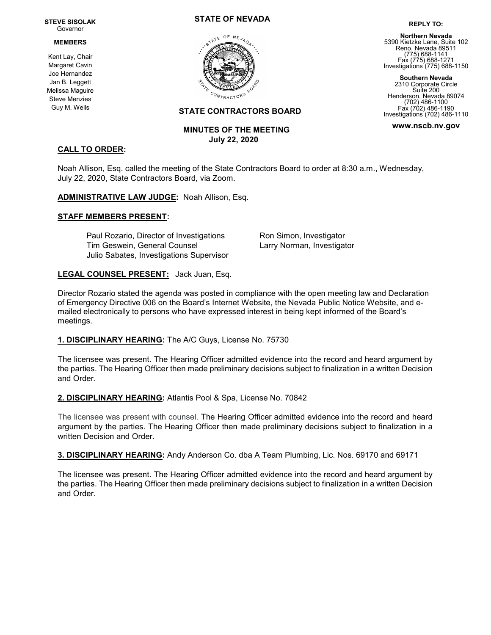#### STEVE SISOLAK Governor

#### MEMBERS

Kent Lay, Chair Margaret Cavin Joe Hernandez Jan B. Leggett Melissa Maguire Steve Menzies Guy M. Wells

CALL TO ORDER:

# STATE OF NEVADA



# STATE CONTRACTORS BOARD

# MINUTES OF THE MEETING July 22, 2020

# Northern Nevada 5390 Kietzke Lane, Suite 102 Reno, Nevada 89511 (775) 688-1141 Fax (775) 688-1271 Investigations (775) 688-1150

REPLY TO:

Southern Nevada 2310 Corporate Circle Suite 200 Henderson, Nevada 89074 (702) 486-1100 Fax (702) 486-1190 Investigations (702) 486-1110

www.nscb.nv.gov

Noah Allison, Esq. called the meeting of the State Contractors Board to order at 8:30 a.m., Wednesday, July 22, 2020, State Contractors Board, via Zoom.

ADMINISTRATIVE LAW JUDGE: Noah Allison, Esq.

### STAFF MEMBERS PRESENT:

Paul Rozario, Director of Investigations Ron Simon, Investigator Tim Geswein, General Counsel Larry Norman, Investigator Julio Sabates, Investigations Supervisor

### LEGAL COUNSEL PRESENT: Jack Juan, Esq.

Director Rozario stated the agenda was posted in compliance with the open meeting law and Declaration of Emergency Directive 006 on the Board's Internet Website, the Nevada Public Notice Website, and emailed electronically to persons who have expressed interest in being kept informed of the Board's meetings.

# 1. DISCIPLINARY HEARING: The A/C Guys, License No. 75730

The licensee was present. The Hearing Officer admitted evidence into the record and heard argument by the parties. The Hearing Officer then made preliminary decisions subject to finalization in a written Decision and Order.

# 2. DISCIPLINARY HEARING: Atlantis Pool & Spa, License No. 70842

The licensee was present with counsel. The Hearing Officer admitted evidence into the record and heard argument by the parties. The Hearing Officer then made preliminary decisions subject to finalization in a written Decision and Order.

3. DISCIPLINARY HEARING: Andy Anderson Co. dba A Team Plumbing, Lic. Nos. 69170 and 69171

The licensee was present. The Hearing Officer admitted evidence into the record and heard argument by the parties. The Hearing Officer then made preliminary decisions subject to finalization in a written Decision and Order.